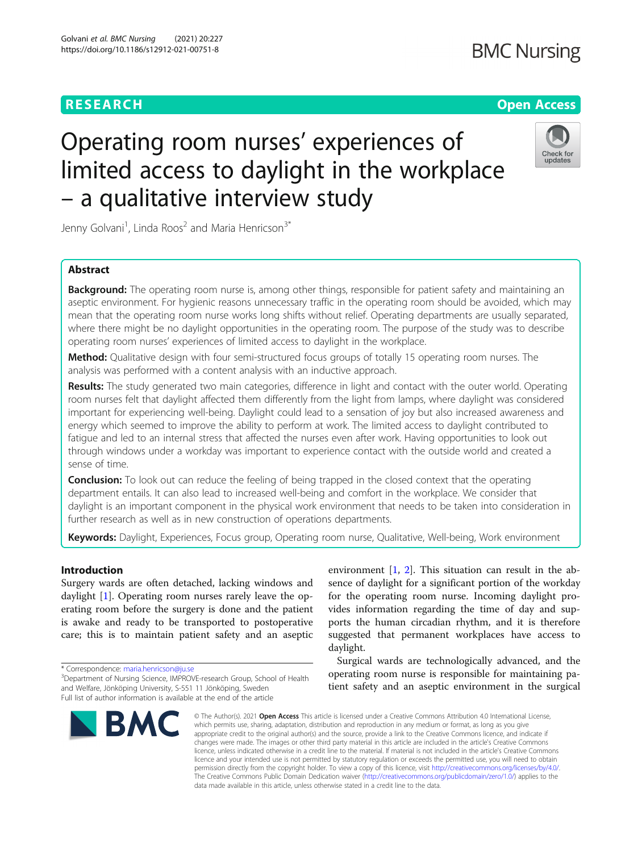## **RESEARCH CHEAR CHEAR CHEAR CHEAR CHEAR CHEAR CHEAR CHEAR CHEAR CHEAR CHEAR CHEAR CHEAR CHEAR CHEAR CHEAR CHEAR**

# Operating room nurses' experiences of limited access to daylight in the workplace – a qualitative interview study



Jenny Golvani<sup>1</sup>, Linda Roos<sup>2</sup> and Maria Henricson<sup>3\*</sup>

### Abstract

**Background:** The operating room nurse is, among other things, responsible for patient safety and maintaining an aseptic environment. For hygienic reasons unnecessary traffic in the operating room should be avoided, which may mean that the operating room nurse works long shifts without relief. Operating departments are usually separated, where there might be no daylight opportunities in the operating room. The purpose of the study was to describe operating room nurses' experiences of limited access to daylight in the workplace.

Method: Qualitative design with four semi-structured focus groups of totally 15 operating room nurses. The analysis was performed with a content analysis with an inductive approach.

Results: The study generated two main categories, difference in light and contact with the outer world. Operating room nurses felt that daylight affected them differently from the light from lamps, where daylight was considered important for experiencing well-being. Daylight could lead to a sensation of joy but also increased awareness and energy which seemed to improve the ability to perform at work. The limited access to daylight contributed to fatigue and led to an internal stress that affected the nurses even after work. Having opportunities to look out through windows under a workday was important to experience contact with the outside world and created a sense of time.

**Conclusion:** To look out can reduce the feeling of being trapped in the closed context that the operating department entails. It can also lead to increased well-being and comfort in the workplace. We consider that daylight is an important component in the physical work environment that needs to be taken into consideration in further research as well as in new construction of operations departments.

Keywords: Daylight, Experiences, Focus group, Operating room nurse, Qualitative, Well-being, Work environment

#### Introduction

Surgery wards are often detached, lacking windows and daylight [[1\]](#page-7-0). Operating room nurses rarely leave the operating room before the surgery is done and the patient is awake and ready to be transported to postoperative care; this is to maintain patient safety and an aseptic

\* Correspondence: [maria.henricson@ju.se](mailto:maria.henricson@ju.se) <sup>3</sup>

<sup>&</sup>lt;sup>3</sup>Department of Nursing Science, IMPROVE-research Group, School of Health and Welfare, Jönköping University, S-551 11 Jönköping, Sweden Full list of author information is available at the end of the article



environment [\[1](#page-7-0), [2](#page-7-0)]. This situation can result in the absence of daylight for a significant portion of the workday for the operating room nurse. Incoming daylight provides information regarding the time of day and supports the human circadian rhythm, and it is therefore suggested that permanent workplaces have access to daylight.

Surgical wards are technologically advanced, and the operating room nurse is responsible for maintaining patient safety and an aseptic environment in the surgical

© The Author(s), 2021 **Open Access** This article is licensed under a Creative Commons Attribution 4.0 International License, which permits use, sharing, adaptation, distribution and reproduction in any medium or format, as long as you give appropriate credit to the original author(s) and the source, provide a link to the Creative Commons licence, and indicate if changes were made. The images or other third party material in this article are included in the article's Creative Commons licence, unless indicated otherwise in a credit line to the material. If material is not included in the article's Creative Commons licence and your intended use is not permitted by statutory regulation or exceeds the permitted use, you will need to obtain permission directly from the copyright holder. To view a copy of this licence, visit [http://creativecommons.org/licenses/by/4.0/.](http://creativecommons.org/licenses/by/4.0/) The Creative Commons Public Domain Dedication waiver [\(http://creativecommons.org/publicdomain/zero/1.0/](http://creativecommons.org/publicdomain/zero/1.0/)) applies to the data made available in this article, unless otherwise stated in a credit line to the data.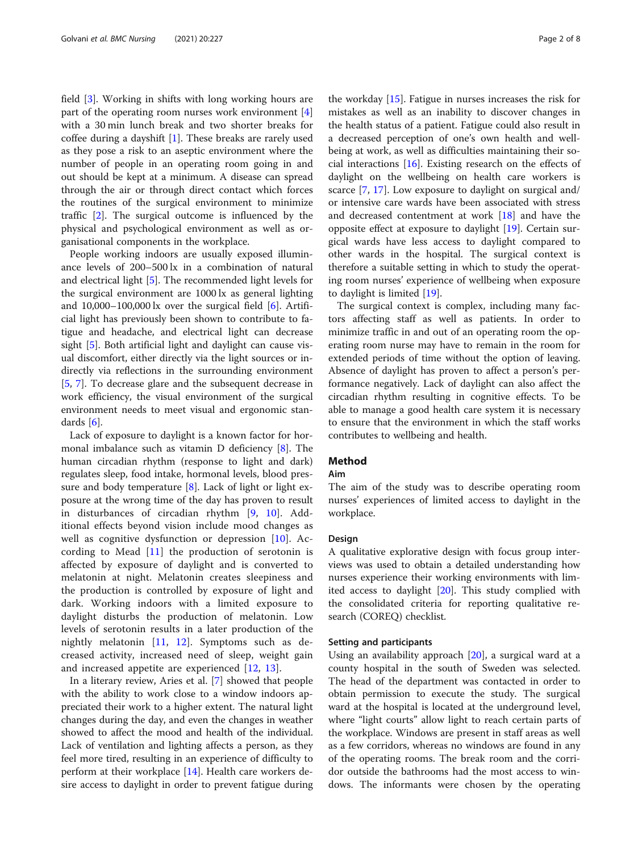field [\[3\]](#page-7-0). Working in shifts with long working hours are part of the operating room nurses work environment [\[4](#page-7-0)] with a 30 min lunch break and two shorter breaks for coffee during a dayshift [[1](#page-7-0)]. These breaks are rarely used as they pose a risk to an aseptic environment where the number of people in an operating room going in and out should be kept at a minimum. A disease can spread through the air or through direct contact which forces the routines of the surgical environment to minimize traffic [[2\]](#page-7-0). The surgical outcome is influenced by the physical and psychological environment as well as organisational components in the workplace.

People working indoors are usually exposed illuminance levels of 200–500 lx in a combination of natural and electrical light [[5](#page-7-0)]. The recommended light levels for the surgical environment are 1000 lx as general lighting and  $10,000-100,000$  lx over the surgical field  $[6]$  $[6]$ . Artificial light has previously been shown to contribute to fatigue and headache, and electrical light can decrease sight [[5\]](#page-7-0). Both artificial light and daylight can cause visual discomfort, either directly via the light sources or indirectly via reflections in the surrounding environment [[5,](#page-7-0) [7](#page-7-0)]. To decrease glare and the subsequent decrease in work efficiency, the visual environment of the surgical environment needs to meet visual and ergonomic standards [\[6](#page-7-0)].

Lack of exposure to daylight is a known factor for hormonal imbalance such as vitamin D deficiency [\[8](#page-7-0)]. The human circadian rhythm (response to light and dark) regulates sleep, food intake, hormonal levels, blood pres-sure and body temperature [\[8](#page-7-0)]. Lack of light or light exposure at the wrong time of the day has proven to result in disturbances of circadian rhythm [\[9](#page-7-0), [10\]](#page-7-0). Additional effects beyond vision include mood changes as well as cognitive dysfunction or depression [[10\]](#page-7-0). According to Mead [[11\]](#page-7-0) the production of serotonin is affected by exposure of daylight and is converted to melatonin at night. Melatonin creates sleepiness and the production is controlled by exposure of light and dark. Working indoors with a limited exposure to daylight disturbs the production of melatonin. Low levels of serotonin results in a later production of the nightly melatonin [\[11](#page-7-0), [12](#page-7-0)]. Symptoms such as decreased activity, increased need of sleep, weight gain and increased appetite are experienced [[12,](#page-7-0) [13\]](#page-7-0).

In a literary review, Aries et al. [\[7\]](#page-7-0) showed that people with the ability to work close to a window indoors appreciated their work to a higher extent. The natural light changes during the day, and even the changes in weather showed to affect the mood and health of the individual. Lack of ventilation and lighting affects a person, as they feel more tired, resulting in an experience of difficulty to perform at their workplace [\[14](#page-7-0)]. Health care workers desire access to daylight in order to prevent fatigue during

the workday [[15](#page-7-0)]. Fatigue in nurses increases the risk for mistakes as well as an inability to discover changes in the health status of a patient. Fatigue could also result in a decreased perception of one's own health and wellbeing at work, as well as difficulties maintaining their social interactions [\[16](#page-7-0)]. Existing research on the effects of daylight on the wellbeing on health care workers is scarce [\[7](#page-7-0), [17](#page-7-0)]. Low exposure to daylight on surgical and/ or intensive care wards have been associated with stress and decreased contentment at work [[18](#page-7-0)] and have the opposite effect at exposure to daylight [[19\]](#page-7-0). Certain surgical wards have less access to daylight compared to other wards in the hospital. The surgical context is therefore a suitable setting in which to study the operating room nurses' experience of wellbeing when exposure to daylight is limited [\[19](#page-7-0)].

The surgical context is complex, including many factors affecting staff as well as patients. In order to minimize traffic in and out of an operating room the operating room nurse may have to remain in the room for extended periods of time without the option of leaving. Absence of daylight has proven to affect a person's performance negatively. Lack of daylight can also affect the circadian rhythm resulting in cognitive effects. To be able to manage a good health care system it is necessary to ensure that the environment in which the staff works contributes to wellbeing and health.

#### Method

#### Aim

The aim of the study was to describe operating room nurses' experiences of limited access to daylight in the workplace.

#### Design

A qualitative explorative design with focus group interviews was used to obtain a detailed understanding how nurses experience their working environments with limited access to daylight [\[20](#page-7-0)]. This study complied with the consolidated criteria for reporting qualitative research (COREQ) checklist.

#### Setting and participants

Using an availability approach [\[20\]](#page-7-0), a surgical ward at a county hospital in the south of Sweden was selected. The head of the department was contacted in order to obtain permission to execute the study. The surgical ward at the hospital is located at the underground level, where "light courts" allow light to reach certain parts of the workplace. Windows are present in staff areas as well as a few corridors, whereas no windows are found in any of the operating rooms. The break room and the corridor outside the bathrooms had the most access to windows. The informants were chosen by the operating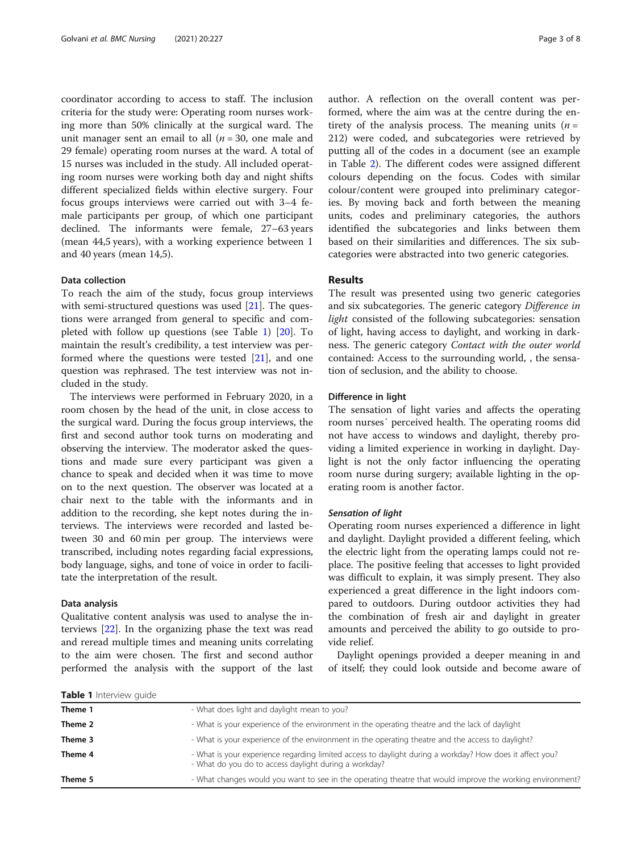<span id="page-2-0"></span>coordinator according to access to staff. The inclusion criteria for the study were: Operating room nurses working more than 50% clinically at the surgical ward. The unit manager sent an email to all  $(n = 30)$ , one male and 29 female) operating room nurses at the ward. A total of 15 nurses was included in the study. All included operating room nurses were working both day and night shifts different specialized fields within elective surgery. Four focus groups interviews were carried out with 3–4 female participants per group, of which one participant declined. The informants were female, 27–63 years (mean 44,5 years), with a working experience between 1 and 40 years (mean 14,5).

#### Data collection

To reach the aim of the study, focus group interviews with semi-structured questions was used  $[21]$  $[21]$  $[21]$ . The questions were arranged from general to specific and completed with follow up questions (see Table 1) [\[20](#page-7-0)]. To maintain the result's credibility, a test interview was performed where the questions were tested  $[21]$  $[21]$ , and one question was rephrased. The test interview was not included in the study.

The interviews were performed in February 2020, in a room chosen by the head of the unit, in close access to the surgical ward. During the focus group interviews, the first and second author took turns on moderating and observing the interview. The moderator asked the questions and made sure every participant was given a chance to speak and decided when it was time to move on to the next question. The observer was located at a chair next to the table with the informants and in addition to the recording, she kept notes during the interviews. The interviews were recorded and lasted between 30 and 60 min per group. The interviews were transcribed, including notes regarding facial expressions, body language, sighs, and tone of voice in order to facilitate the interpretation of the result.

#### Data analysis

Qualitative content analysis was used to analyse the interviews [[22\]](#page-7-0). In the organizing phase the text was read and reread multiple times and meaning units correlating to the aim were chosen. The first and second author performed the analysis with the support of the last author. A reflection on the overall content was performed, where the aim was at the centre during the entirety of the analysis process. The meaning units  $(n =$ 212) were coded, and subcategories were retrieved by putting all of the codes in a document (see an example in Table [2](#page-3-0)). The different codes were assigned different colours depending on the focus. Codes with similar colour/content were grouped into preliminary categories. By moving back and forth between the meaning units, codes and preliminary categories, the authors identified the subcategories and links between them based on their similarities and differences. The six subcategories were abstracted into two generic categories.

#### Results

The result was presented using two generic categories and six subcategories. The generic category Difference in light consisted of the following subcategories: sensation of light, having access to daylight, and working in darkness. The generic category Contact with the outer world contained: Access to the surrounding world, , the sensation of seclusion, and the ability to choose.

#### Difference in light

The sensation of light varies and affects the operating room nurses´ perceived health. The operating rooms did not have access to windows and daylight, thereby providing a limited experience in working in daylight. Daylight is not the only factor influencing the operating room nurse during surgery; available lighting in the operating room is another factor.

#### Sensation of light

Operating room nurses experienced a difference in light and daylight. Daylight provided a different feeling, which the electric light from the operating lamps could not replace. The positive feeling that accesses to light provided was difficult to explain, it was simply present. They also experienced a great difference in the light indoors compared to outdoors. During outdoor activities they had the combination of fresh air and daylight in greater amounts and perceived the ability to go outside to provide relief.

Daylight openings provided a deeper meaning in and of itself; they could look outside and become aware of

| Table 1 Interview quide |                                                                                                                                                                   |
|-------------------------|-------------------------------------------------------------------------------------------------------------------------------------------------------------------|
| Theme 1                 | - What does light and daylight mean to you?                                                                                                                       |
| Theme 2                 | - What is your experience of the environment in the operating theatre and the lack of daylight                                                                    |
| Theme 3                 | - What is your experience of the environment in the operating theatre and the access to daylight?                                                                 |
| Theme 4                 | - What is your experience regarding limited access to daylight during a workday? How does it affect you?<br>- What do you do to access daylight during a workday? |
| Theme 5                 | - What changes would you want to see in the operating theatre that would improve the working environment?                                                         |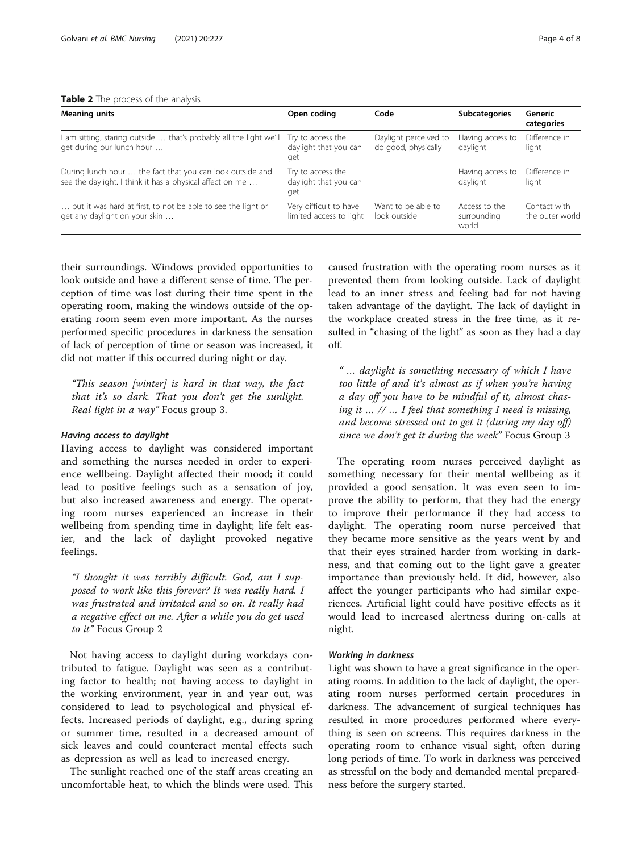<span id="page-3-0"></span>

| Table 2 The process of the analysis |  |  |  |  |  |  |
|-------------------------------------|--|--|--|--|--|--|
|-------------------------------------|--|--|--|--|--|--|

| <b>Meaning units</b>                                                                                                  | Open coding                                       | Code                                         | <b>Subcategories</b>                  | Generic<br>categories           |
|-----------------------------------------------------------------------------------------------------------------------|---------------------------------------------------|----------------------------------------------|---------------------------------------|---------------------------------|
| I am sitting, staring outside  that's probably all the light we'll<br>get during our lunch hour                       | Try to access the<br>daylight that you can<br>get | Daylight perceived to<br>do good, physically | Having access to<br>daylight          | Difference in<br>light          |
| During lunch hour  the fact that you can look outside and<br>see the daylight. I think it has a physical affect on me | Try to access the<br>daylight that you can<br>get |                                              | Having access to<br>daylight          | Difference in<br>light          |
| but it was hard at first, to not be able to see the light or<br>get any daylight on your skin                         | Very difficult to have<br>limited access to light | Want to be able to<br>look outside           | Access to the<br>surrounding<br>world | Contact with<br>the outer world |

their surroundings. Windows provided opportunities to look outside and have a different sense of time. The perception of time was lost during their time spent in the operating room, making the windows outside of the operating room seem even more important. As the nurses performed specific procedures in darkness the sensation of lack of perception of time or season was increased, it did not matter if this occurred during night or day.

"This season [winter] is hard in that way, the fact that it's so dark. That you don't get the sunlight. Real light in a way" Focus group 3.

#### Having access to daylight

Having access to daylight was considered important and something the nurses needed in order to experience wellbeing. Daylight affected their mood; it could lead to positive feelings such as a sensation of joy, but also increased awareness and energy. The operating room nurses experienced an increase in their wellbeing from spending time in daylight; life felt easier, and the lack of daylight provoked negative feelings.

"I thought it was terribly difficult. God, am I supposed to work like this forever? It was really hard. I was frustrated and irritated and so on. It really had a negative effect on me. After a while you do get used to it" Focus Group 2

Not having access to daylight during workdays contributed to fatigue. Daylight was seen as a contributing factor to health; not having access to daylight in the working environment, year in and year out, was considered to lead to psychological and physical effects. Increased periods of daylight, e.g., during spring or summer time, resulted in a decreased amount of sick leaves and could counteract mental effects such as depression as well as lead to increased energy.

The sunlight reached one of the staff areas creating an uncomfortable heat, to which the blinds were used. This caused frustration with the operating room nurses as it prevented them from looking outside. Lack of daylight lead to an inner stress and feeling bad for not having taken advantage of the daylight. The lack of daylight in the workplace created stress in the free time, as it resulted in "chasing of the light" as soon as they had a day off.

" … daylight is something necessary of which I have too little of and it's almost as if when you're having a day off you have to be mindful of it, almost chasing it … // … I feel that something I need is missing, and become stressed out to get it (during my day off) since we don't get it during the week" Focus Group 3

The operating room nurses perceived daylight as something necessary for their mental wellbeing as it provided a good sensation. It was even seen to improve the ability to perform, that they had the energy to improve their performance if they had access to daylight. The operating room nurse perceived that they became more sensitive as the years went by and that their eyes strained harder from working in darkness, and that coming out to the light gave a greater importance than previously held. It did, however, also affect the younger participants who had similar experiences. Artificial light could have positive effects as it would lead to increased alertness during on-calls at night.

#### Working in darkness

Light was shown to have a great significance in the operating rooms. In addition to the lack of daylight, the operating room nurses performed certain procedures in darkness. The advancement of surgical techniques has resulted in more procedures performed where everything is seen on screens. This requires darkness in the operating room to enhance visual sight, often during long periods of time. To work in darkness was perceived as stressful on the body and demanded mental preparedness before the surgery started.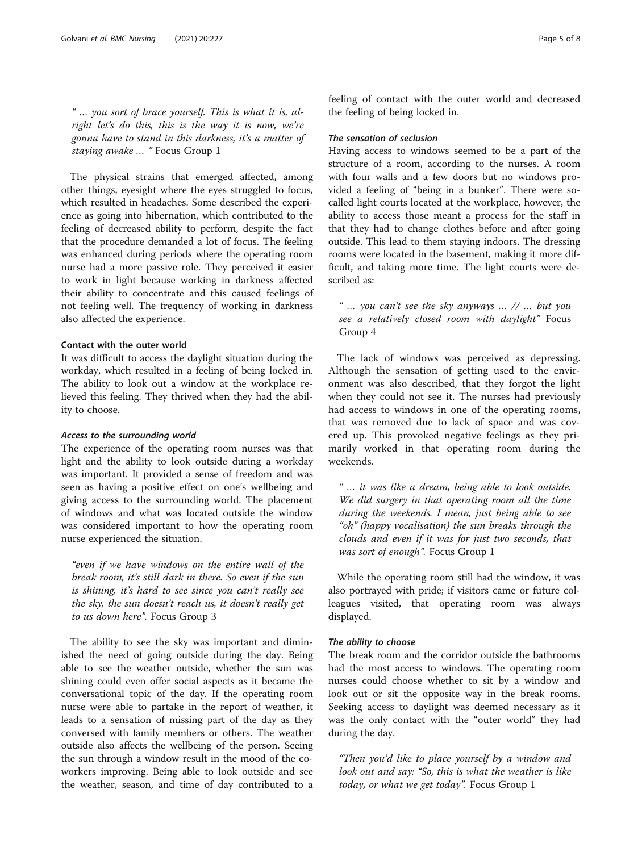" … you sort of brace yourself. This is what it is, alright let's do this, this is the way it is now, we're gonna have to stand in this darkness, it's a matter of staying awake ... " Focus Group 1

The physical strains that emerged affected, among other things, eyesight where the eyes struggled to focus, which resulted in headaches. Some described the experience as going into hibernation, which contributed to the feeling of decreased ability to perform, despite the fact that the procedure demanded a lot of focus. The feeling was enhanced during periods where the operating room nurse had a more passive role. They perceived it easier to work in light because working in darkness affected their ability to concentrate and this caused feelings of not feeling well. The frequency of working in darkness also affected the experience.

#### Contact with the outer world

It was difficult to access the daylight situation during the workday, which resulted in a feeling of being locked in. The ability to look out a window at the workplace relieved this feeling. They thrived when they had the ability to choose.

#### Access to the surrounding world

The experience of the operating room nurses was that light and the ability to look outside during a workday was important. It provided a sense of freedom and was seen as having a positive effect on one's wellbeing and giving access to the surrounding world. The placement of windows and what was located outside the window was considered important to how the operating room nurse experienced the situation.

"even if we have windows on the entire wall of the break room, it's still dark in there. So even if the sun is shining, it's hard to see since you can't really see the sky, the sun doesn't reach us, it doesn't really get to us down here". Focus Group 3

The ability to see the sky was important and diminished the need of going outside during the day. Being able to see the weather outside, whether the sun was shining could even offer social aspects as it became the conversational topic of the day. If the operating room nurse were able to partake in the report of weather, it leads to a sensation of missing part of the day as they conversed with family members or others. The weather outside also affects the wellbeing of the person. Seeing the sun through a window result in the mood of the coworkers improving. Being able to look outside and see the weather, season, and time of day contributed to a feeling of contact with the outer world and decreased the feeling of being locked in.

#### The sensation of seclusion

Having access to windows seemed to be a part of the structure of a room, according to the nurses. A room with four walls and a few doors but no windows provided a feeling of "being in a bunker". There were socalled light courts located at the workplace, however, the ability to access those meant a process for the staff in that they had to change clothes before and after going outside. This lead to them staying indoors. The dressing rooms were located in the basement, making it more difficult, and taking more time. The light courts were described as:

"... you can't see the sky anyways ...  $\ell$  ... but you see a relatively closed room with daylight" Focus Group 4

The lack of windows was perceived as depressing. Although the sensation of getting used to the environment was also described, that they forgot the light when they could not see it. The nurses had previously had access to windows in one of the operating rooms, that was removed due to lack of space and was covered up. This provoked negative feelings as they primarily worked in that operating room during the weekends.

" … it was like a dream, being able to look outside. We did surgery in that operating room all the time during the weekends. I mean, just being able to see "oh" (happy vocalisation) the sun breaks through the clouds and even if it was for just two seconds, that was sort of enough". Focus Group 1

While the operating room still had the window, it was also portrayed with pride; if visitors came or future colleagues visited, that operating room was always displayed.

#### The ability to choose

The break room and the corridor outside the bathrooms had the most access to windows. The operating room nurses could choose whether to sit by a window and look out or sit the opposite way in the break rooms. Seeking access to daylight was deemed necessary as it was the only contact with the "outer world" they had during the day.

"Then you'd like to place yourself by a window and look out and say: "So, this is what the weather is like today, or what we get today". Focus Group 1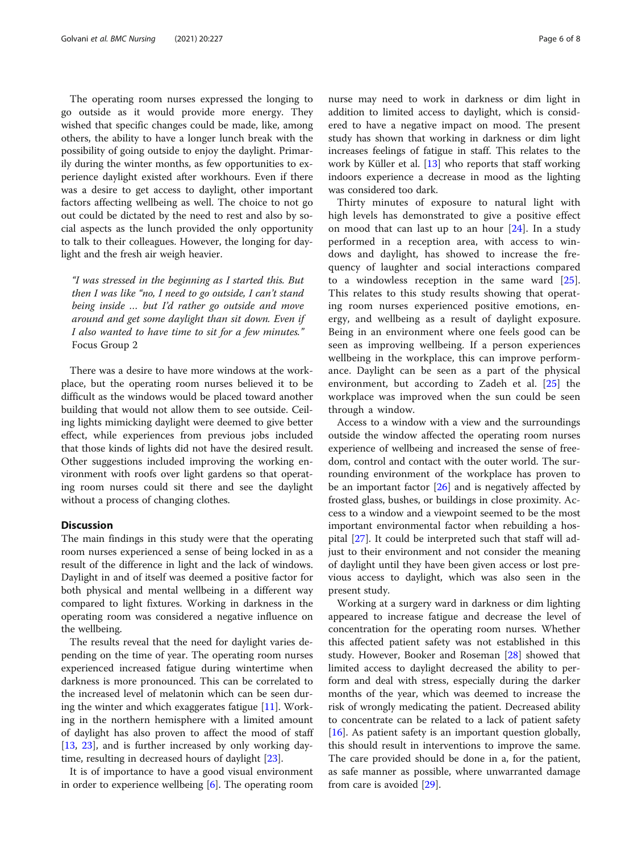The operating room nurses expressed the longing to go outside as it would provide more energy. They wished that specific changes could be made, like, among others, the ability to have a longer lunch break with the possibility of going outside to enjoy the daylight. Primarily during the winter months, as few opportunities to experience daylight existed after workhours. Even if there was a desire to get access to daylight, other important factors affecting wellbeing as well. The choice to not go out could be dictated by the need to rest and also by social aspects as the lunch provided the only opportunity to talk to their colleagues. However, the longing for daylight and the fresh air weigh heavier.

"I was stressed in the beginning as I started this. But then I was like "no, I need to go outside, I can't stand being inside … but I'd rather go outside and move around and get some daylight than sit down. Even if I also wanted to have time to sit for a few minutes." Focus Group 2

There was a desire to have more windows at the workplace, but the operating room nurses believed it to be difficult as the windows would be placed toward another building that would not allow them to see outside. Ceiling lights mimicking daylight were deemed to give better effect, while experiences from previous jobs included that those kinds of lights did not have the desired result. Other suggestions included improving the working environment with roofs over light gardens so that operating room nurses could sit there and see the daylight without a process of changing clothes.

#### **Discussion**

The main findings in this study were that the operating room nurses experienced a sense of being locked in as a result of the difference in light and the lack of windows. Daylight in and of itself was deemed a positive factor for both physical and mental wellbeing in a different way compared to light fixtures. Working in darkness in the operating room was considered a negative influence on the wellbeing.

The results reveal that the need for daylight varies depending on the time of year. The operating room nurses experienced increased fatigue during wintertime when darkness is more pronounced. This can be correlated to the increased level of melatonin which can be seen during the winter and which exaggerates fatigue [\[11](#page-7-0)]. Working in the northern hemisphere with a limited amount of daylight has also proven to affect the mood of staff [[13,](#page-7-0) [23\]](#page-7-0), and is further increased by only working daytime, resulting in decreased hours of daylight [[23\]](#page-7-0).

It is of importance to have a good visual environment in order to experience wellbeing [[6\]](#page-7-0). The operating room nurse may need to work in darkness or dim light in addition to limited access to daylight, which is considered to have a negative impact on mood. The present study has shown that working in darkness or dim light increases feelings of fatigue in staff. This relates to the work by Küller et al. [\[13](#page-7-0)] who reports that staff working indoors experience a decrease in mood as the lighting was considered too dark.

Thirty minutes of exposure to natural light with high levels has demonstrated to give a positive effect on mood that can last up to an hour [[24\]](#page-7-0). In a study performed in a reception area, with access to windows and daylight, has showed to increase the frequency of laughter and social interactions compared to a windowless reception in the same ward [\[25](#page-7-0)]. This relates to this study results showing that operating room nurses experienced positive emotions, energy, and wellbeing as a result of daylight exposure. Being in an environment where one feels good can be seen as improving wellbeing. If a person experiences wellbeing in the workplace, this can improve performance. Daylight can be seen as a part of the physical environment, but according to Zadeh et al. [[25\]](#page-7-0) the workplace was improved when the sun could be seen through a window.

Access to a window with a view and the surroundings outside the window affected the operating room nurses experience of wellbeing and increased the sense of freedom, control and contact with the outer world. The surrounding environment of the workplace has proven to be an important factor [\[26](#page-7-0)] and is negatively affected by frosted glass, bushes, or buildings in close proximity. Access to a window and a viewpoint seemed to be the most important environmental factor when rebuilding a hospital [\[27](#page-7-0)]. It could be interpreted such that staff will adjust to their environment and not consider the meaning of daylight until they have been given access or lost previous access to daylight, which was also seen in the present study.

Working at a surgery ward in darkness or dim lighting appeared to increase fatigue and decrease the level of concentration for the operating room nurses. Whether this affected patient safety was not established in this study. However, Booker and Roseman [\[28\]](#page-7-0) showed that limited access to daylight decreased the ability to perform and deal with stress, especially during the darker months of the year, which was deemed to increase the risk of wrongly medicating the patient. Decreased ability to concentrate can be related to a lack of patient safety [[16\]](#page-7-0). As patient safety is an important question globally, this should result in interventions to improve the same. The care provided should be done in a, for the patient, as safe manner as possible, where unwarranted damage from care is avoided [\[29\]](#page-7-0).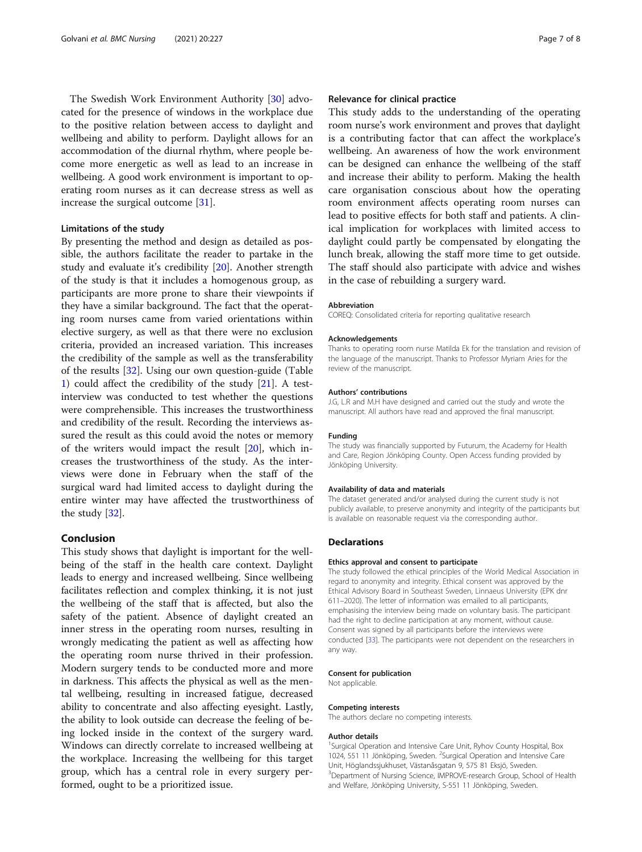The Swedish Work Environment Authority [\[30](#page-7-0)] advocated for the presence of windows in the workplace due to the positive relation between access to daylight and wellbeing and ability to perform. Daylight allows for an accommodation of the diurnal rhythm, where people become more energetic as well as lead to an increase in wellbeing. A good work environment is important to operating room nurses as it can decrease stress as well as increase the surgical outcome [[31](#page-7-0)].

#### Limitations of the study

By presenting the method and design as detailed as possible, the authors facilitate the reader to partake in the study and evaluate it's credibility [\[20](#page-7-0)]. Another strength of the study is that it includes a homogenous group, as participants are more prone to share their viewpoints if they have a similar background. The fact that the operating room nurses came from varied orientations within elective surgery, as well as that there were no exclusion criteria, provided an increased variation. This increases the credibility of the sample as well as the transferability of the results [\[32\]](#page-7-0). Using our own question-guide (Table [1\)](#page-2-0) could affect the credibility of the study [\[21\]](#page-7-0). A testinterview was conducted to test whether the questions were comprehensible. This increases the trustworthiness and credibility of the result. Recording the interviews assured the result as this could avoid the notes or memory of the writers would impact the result [\[20\]](#page-7-0), which increases the trustworthiness of the study. As the interviews were done in February when the staff of the surgical ward had limited access to daylight during the entire winter may have affected the trustworthiness of the study [[32](#page-7-0)].

#### Conclusion

This study shows that daylight is important for the wellbeing of the staff in the health care context. Daylight leads to energy and increased wellbeing. Since wellbeing facilitates reflection and complex thinking, it is not just the wellbeing of the staff that is affected, but also the safety of the patient. Absence of daylight created an inner stress in the operating room nurses, resulting in wrongly medicating the patient as well as affecting how the operating room nurse thrived in their profession. Modern surgery tends to be conducted more and more in darkness. This affects the physical as well as the mental wellbeing, resulting in increased fatigue, decreased ability to concentrate and also affecting eyesight. Lastly, the ability to look outside can decrease the feeling of being locked inside in the context of the surgery ward. Windows can directly correlate to increased wellbeing at the workplace. Increasing the wellbeing for this target group, which has a central role in every surgery performed, ought to be a prioritized issue.

#### Relevance for clinical practice

This study adds to the understanding of the operating room nurse's work environment and proves that daylight is a contributing factor that can affect the workplace's wellbeing. An awareness of how the work environment can be designed can enhance the wellbeing of the staff and increase their ability to perform. Making the health care organisation conscious about how the operating room environment affects operating room nurses can lead to positive effects for both staff and patients. A clinical implication for workplaces with limited access to daylight could partly be compensated by elongating the lunch break, allowing the staff more time to get outside. The staff should also participate with advice and wishes in the case of rebuilding a surgery ward.

#### Abbreviation

COREQ: Consolidated criteria for reporting qualitative research

#### Acknowledgements

Thanks to operating room nurse Matilda Ek for the translation and revision of the language of the manuscript. Thanks to Professor Myriam Aries for the review of the manuscript.

#### Authors' contributions

J.G, L.R and M.H have designed and carried out the study and wrote the manuscript. All authors have read and approved the final manuscript.

#### Funding

The study was financially supported by Futurum, the Academy for Health and Care, Region Jönköping County. Open Access funding provided by Jönköping University.

#### Availability of data and materials

The dataset generated and/or analysed during the current study is not publicly available, to preserve anonymity and integrity of the participants but is available on reasonable request via the corresponding author.

#### Declarations

#### Ethics approval and consent to participate

The study followed the ethical principles of the World Medical Association in regard to anonymity and integrity. Ethical consent was approved by the Ethical Advisory Board in Southeast Sweden, Linnaeus University (EPK dnr 611–2020). The letter of information was emailed to all participants, emphasising the interview being made on voluntary basis. The participant had the right to decline participation at any moment, without cause. Consent was signed by all participants before the interviews were conducted [\[33\]](#page-7-0). The participants were not dependent on the researchers in any way.

#### Consent for publication

Not applicable.

#### Competing interests

The authors declare no competing interests.

#### Author details

<sup>1</sup>Surgical Operation and Intensive Care Unit, Ryhov County Hospital, Box 1024, 551 11 Jönköping, Sweden. <sup>2</sup>Surgical Operation and Intensive Care Unit, Höglandssjukhuset, Västanåsgatan 9, 575 81 Eksjö, Sweden. <sup>3</sup>Department of Nursing Science, IMPROVE-research Group, School of Health and Welfare, Jönköping University, S-551 11 Jönköping, Sweden.